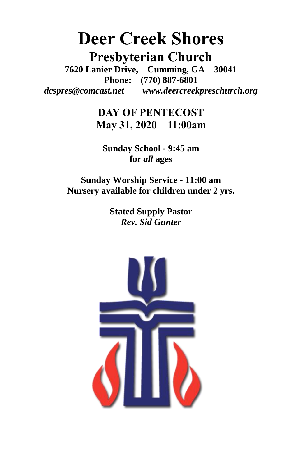# **Deer Creek Shores Presbyterian Church**

**7620 Lanier Drive, Cumming, GA 30041 Phone: (770) 887-6801** *dcspres@comcast.net**www.deercreekpreschurch.org*

> **DAY OF PENTECOST May 31, 2020 – 11:00am**

**Sunday School - 9:45 am for** *all* **ages**

**Sunday Worship Service - 11:00 am Nursery available for children under 2 yrs.**

> **Stated Supply Pastor** *Rev. Sid Gunter*

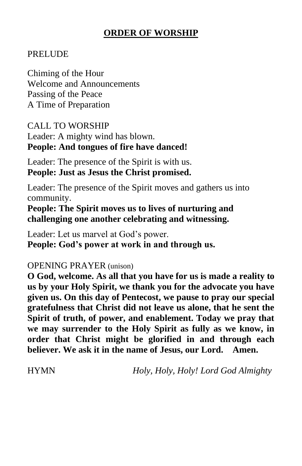# **ORDER OF WORSHIP**

### PRELUDE

Chiming of the Hour Welcome and Announcements Passing of the Peace A Time of Preparation

CALL TO WORSHIP

Leader: A mighty wind has blown. **People: And tongues of fire have danced!**

Leader: The presence of the Spirit is with us. **People: Just as Jesus the Christ promised.**

Leader: The presence of the Spirit moves and gathers us into community.

**People: The Spirit moves us to lives of nurturing and challenging one another celebrating and witnessing.**

Leader: Let us marvel at God's power. **People: God's power at work in and through us.**

### OPENING PRAYER (unison)

**O God, welcome. As all that you have for us is made a reality to us by your Holy Spirit, we thank you for the advocate you have given us. On this day of Pentecost, we pause to pray our special gratefulness that Christ did not leave us alone, that he sent the Spirit of truth, of power, and enablement. Today we pray that we may surrender to the Holy Spirit as fully as we know, in order that Christ might be glorified in and through each believer. We ask it in the name of Jesus, our Lord. Amen.**

HYMN *Holy, Holy, Holy! Lord God Almighty*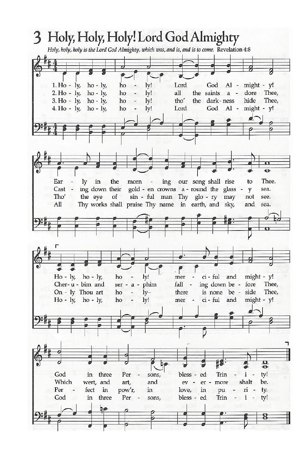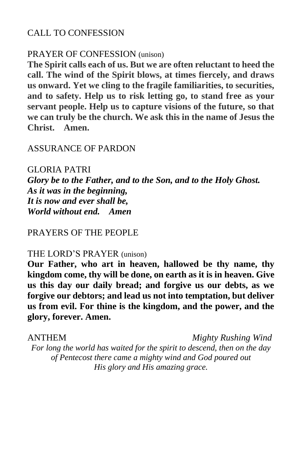### CALL TO CONFESSION

### PRAYER OF CONFESSION (unison)

**The Spirit calls each of us. But we are often reluctant to heed the call. The wind of the Spirit blows, at times fiercely, and draws us onward. Yet we cling to the fragile familiarities, to securities, and to safety. Help us to risk letting go, to stand free as your servant people. Help us to capture visions of the future, so that we can truly be the church. We ask this in the name of Jesus the Christ. Amen.** 

### ASSURANCE OF PARDON

### GLORIA PATRI

*Glory be to the Father, and to the Son, and to the Holy Ghost. As it was in the beginning, It is now and ever shall be, World without end. Amen*

### PRAYERS OF THE PEOPLE

### THE LORD'S PRAYER (unison)

**Our Father, who art in heaven, hallowed be thy name, thy kingdom come, thy will be done, on earth as it is in heaven. Give us this day our daily bread; and forgive us our debts, as we forgive our debtors; and lead us not into temptation, but deliver us from evil. For thine is the kingdom, and the power, and the glory, forever. Amen.**

ANTHEM *Mighty Rushing Wind For long the world has waited for the spirit to descend, then on the day of Pentecost there came a mighty wind and God poured out His glory and His amazing grace.*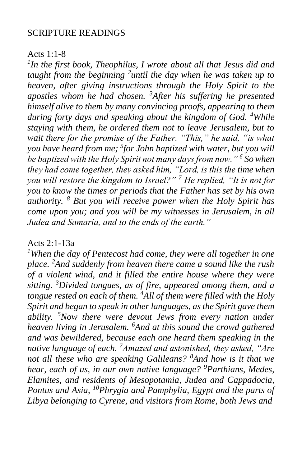### SCRIPTURE READINGS

### Acts 1:1-8

*1 In the first book, Theophilus, I wrote about all that Jesus did and*  taught from the beginning <sup>2</sup> until the day when he was taken up to *heaven, after giving instructions through the Holy Spirit to the apostles whom he had chosen. <sup>3</sup>After his suffering he presented himself alive to them by many convincing proofs, appearing to them during forty days and speaking about the kingdom of God. <sup>4</sup>While staying with them, he ordered them not to leave Jerusalem, but to wait there for the promise of the Father. "This," he said, "is what you have heard from me; <sup>5</sup> for John baptized with water, but you will be baptized with the Holy Spirit not many days from now." <sup>6</sup> So when they had come together, they asked him, "Lord, is this the time when you will restore the kingdom to Israel?" <sup>7</sup> He replied, "It is not for you to know the times or periods that the Father has set by his own authority. <sup>8</sup> But you will receive power when the Holy Spirit has come upon you; and you will be my witnesses in Jerusalem, in all Judea and Samaria, and to the ends of the earth."*

### Acts 2:1-13a

*<sup>1</sup>When the day of Pentecost had come, they were all together in one place. <sup>2</sup>And suddenly from heaven there came a sound like the rush of a violent wind, and it filled the entire house where they were sitting. <sup>3</sup>Divided tongues, as of fire, appeared among them, and a tongue rested on each of them. <sup>4</sup>All of them were filled with the Holy Spirit and began to speak in other languages, as the Spirit gave them ability. <sup>5</sup>Now there were devout Jews from every nation under heaven living in Jerusalem. <sup>6</sup>And at this sound the crowd gathered and was bewildered, because each one heard them speaking in the native language of each. <sup>7</sup>Amazed and astonished, they asked, "Are not all these who are speaking Galileans? <sup>8</sup>And how is it that we hear, each of us, in our own native language? <sup>9</sup>Parthians, Medes, Elamites, and residents of Mesopotamia, Judea and Cappadocia, Pontus and Asia, <sup>10</sup>Phrygia and Pamphylia, Egypt and the parts of Libya belonging to Cyrene, and visitors from Rome, both Jews and*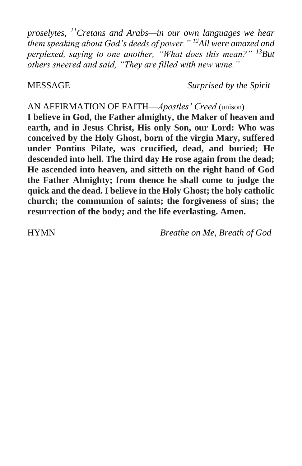*proselytes, <sup>11</sup>Cretans and Arabs—in our own languages we hear them speaking about God's deeds of power." <sup>12</sup>All were amazed and perplexed, saying to one another, "What does this mean?" <sup>13</sup>But others sneered and said, "They are filled with new wine."*

MESSAGE *Surprised by the Spirit*

AN AFFIRMATION OF FAITH—*Apostles' Creed* (unison)

**I believe in God, the Father almighty, the Maker of heaven and earth, and in Jesus Christ, His only Son, our Lord: Who was conceived by the Holy Ghost, born of the virgin Mary, suffered under Pontius Pilate, was crucified, dead, and buried; He descended into hell. The third day He rose again from the dead; He ascended into heaven, and sitteth on the right hand of God the Father Almighty; from thence he shall come to judge the quick and the dead. I believe in the Holy Ghost; the holy catholic church; the communion of saints; the forgiveness of sins; the resurrection of the body; and the life everlasting. Amen.**

HYMN *Breathe on Me, Breath of God*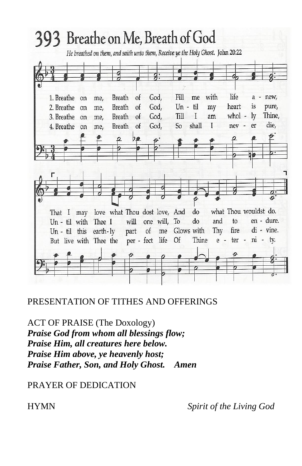

### PRESENTATION OF TITHES AND OFFERINGS

ACT OF PRAISE (The Doxology) *Praise God from whom all blessings flow; Praise Him, all creatures here below. Praise Him above, ye heavenly host; Praise Father, Son, and Holy Ghost. Amen*

PRAYER OF DEDICATION

HYMN *Spirit of the Living God*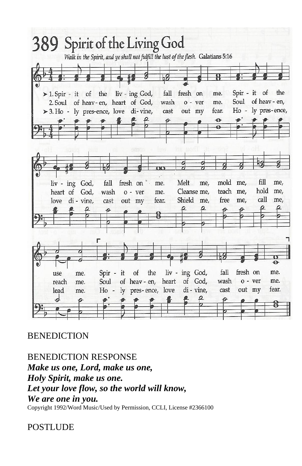

# **BENEDICTION**

BENEDICTION RESPONSE *Make us one, Lord, make us one, Holy Spirit, make us one. Let your love flow, so the world will know, We are one in you.*

# Copyright 1992/Word Music/Used by Permission, CCLI, License #2366100

# POSTLUDE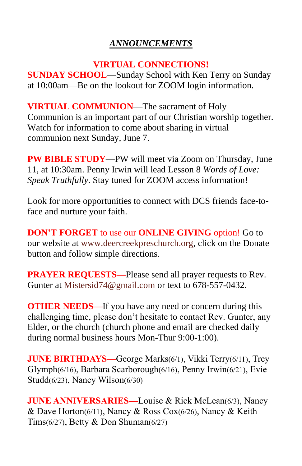# *ANNOUNCEMENTS*

## **VIRTUAL CONNECTIONS!**

**SUNDAY SCHOOL**—Sunday School with Ken Terry on Sunday at 10:00am—Be on the lookout for ZOOM login information.

**VIRTUAL COMMUNION**—The sacrament of Holy Communion is an important part of our Christian worship together. Watch for information to come about sharing in virtual communion next Sunday, June 7.

**PW BIBLE STUDY**—PW will meet via Zoom on Thursday, June 11, at 10:30am. Penny Irwin will lead Lesson 8 *Words of Love: Speak Truthfully*. Stay tuned for ZOOM access information!

Look for more opportunities to connect with DCS friends face-toface and nurture your faith.

**DON'T FORGET** to use our **ONLINE GIVING** option! Go to our website at [www.deercreekpreschurch.org,](http://www.deercreekpreschurch.org/) click on the Donate button and follow simple directions.

**PRAYER REQUESTS—**Please send all prayer requests to Rev. Gunter at [Mistersid74@gmail.com](mailto:Mistersid74@gmail.com) or text to 678-557-0432.

**OTHER NEEDS—If** you have any need or concern during this challenging time, please don't hesitate to contact Rev. Gunter, any Elder, or the church (church phone and email are checked daily during normal business hours Mon-Thur 9:00-1:00).

**JUNE BIRTHDAYS—**George Marks(6/1), Vikki Terry(6/11), Trey Glymph(6/16), Barbara Scarborough(6/16), Penny Irwin(6/21), Evie Studd(6/23), Nancy Wilson(6/30)

**JUNE ANNIVERSARIES—Louise & Rick McLean(6/3), Nancy** & Dave Horton(6/11), Nancy & Ross Cox(6/26), Nancy & Keith Tims(6/27), Betty & Don Shuman(6/27)